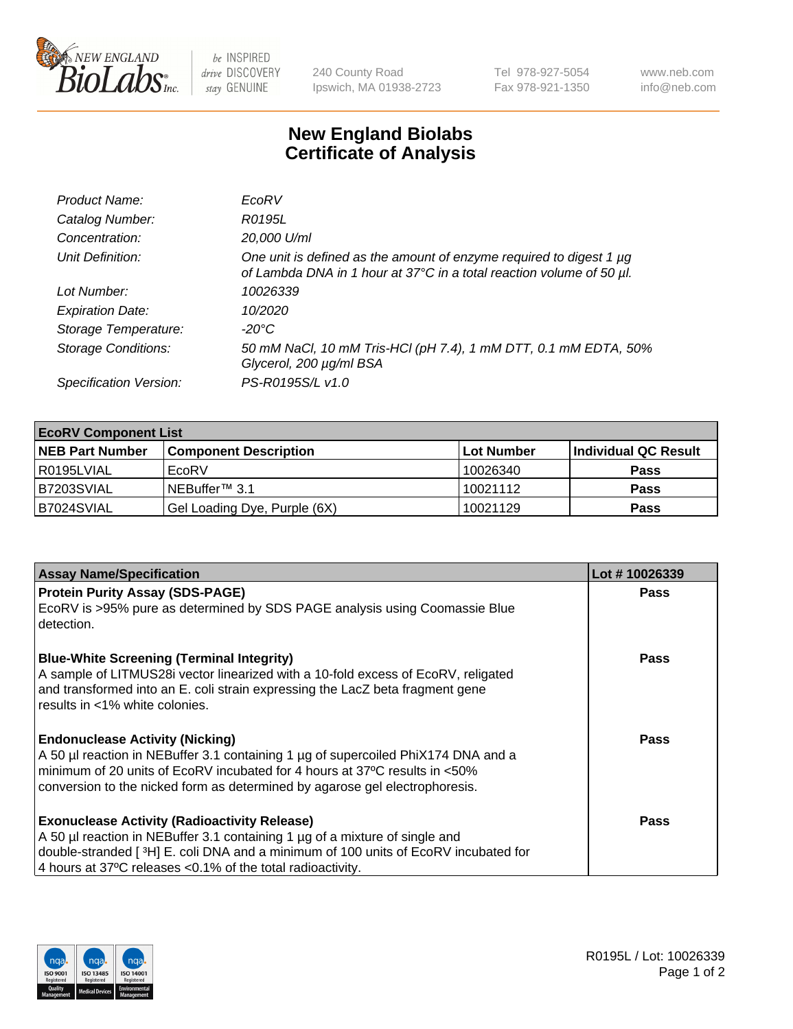

 $be$  INSPIRED drive DISCOVERY stay GENUINE

240 County Road Ipswich, MA 01938-2723 Tel 978-927-5054 Fax 978-921-1350 www.neb.com info@neb.com

## **New England Biolabs Certificate of Analysis**

| Product Name:              | EcoRV                                                                                                                                       |
|----------------------------|---------------------------------------------------------------------------------------------------------------------------------------------|
| Catalog Number:            | R0195L                                                                                                                                      |
| Concentration:             | 20,000 U/ml                                                                                                                                 |
| Unit Definition:           | One unit is defined as the amount of enzyme required to digest 1 µg<br>of Lambda DNA in 1 hour at 37°C in a total reaction volume of 50 µl. |
| Lot Number:                | 10026339                                                                                                                                    |
| <b>Expiration Date:</b>    | 10/2020                                                                                                                                     |
| Storage Temperature:       | $-20^{\circ}$ C                                                                                                                             |
| <b>Storage Conditions:</b> | 50 mM NaCl, 10 mM Tris-HCl (pH 7.4), 1 mM DTT, 0.1 mM EDTA, 50%<br>Glycerol, 200 µg/ml BSA                                                  |
| Specification Version:     | PS-R0195S/L v1.0                                                                                                                            |

| <b>EcoRV Component List</b> |                              |            |                      |  |  |
|-----------------------------|------------------------------|------------|----------------------|--|--|
| <b>NEB Part Number</b>      | <b>Component Description</b> | Lot Number | Individual QC Result |  |  |
| I R0195LVIAL                | EcoRV                        | 10026340   | <b>Pass</b>          |  |  |
| B7203SVIAL                  | INEBuffer™ 3.1               | 10021112   | <b>Pass</b>          |  |  |
| B7024SVIAL                  | Gel Loading Dye, Purple (6X) | 10021129   | <b>Pass</b>          |  |  |

| <b>Assay Name/Specification</b>                                                                                   | Lot #10026339 |
|-------------------------------------------------------------------------------------------------------------------|---------------|
| <b>Protein Purity Assay (SDS-PAGE)</b>                                                                            | <b>Pass</b>   |
| EcoRV is >95% pure as determined by SDS PAGE analysis using Coomassie Blue<br>detection.                          |               |
| <b>Blue-White Screening (Terminal Integrity)</b>                                                                  | Pass          |
| A sample of LITMUS28i vector linearized with a 10-fold excess of EcoRV, religated                                 |               |
| and transformed into an E. coli strain expressing the LacZ beta fragment gene<br>l results in <1% white colonies. |               |
|                                                                                                                   |               |
| <b>Endonuclease Activity (Nicking)</b>                                                                            | Pass          |
| A 50 µl reaction in NEBuffer 3.1 containing 1 µg of supercoiled PhiX174 DNA and a                                 |               |
| minimum of 20 units of EcoRV incubated for 4 hours at 37°C results in <50%                                        |               |
| conversion to the nicked form as determined by agarose gel electrophoresis.                                       |               |
| <b>Exonuclease Activity (Radioactivity Release)</b>                                                               | Pass          |
| A 50 µl reaction in NEBuffer 3.1 containing 1 µg of a mixture of single and                                       |               |
| double-stranded [ <sup>3</sup> H] E. coli DNA and a minimum of 100 units of EcoRV incubated for                   |               |
| 4 hours at 37°C releases < 0.1% of the total radioactivity.                                                       |               |